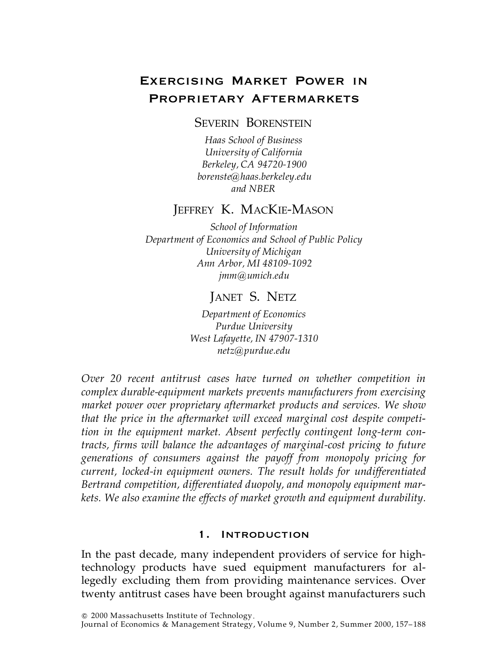# **Exercising Market Power in Proprietary Aftermarkets**

SEVERIN BORENSTEIN

*Haas School of Business University of California Berkeley, CA 94720-1900 borenste*@*haas.berkeley.edu and NBER*

## JEFFREY K. MACKIE-MASON

*School of Information Department of Economics and School of Public Policy University of Michigan Ann Arbor, MI 48109-1092 jmm*@*umich.edu*

## JANET S. NETZ

*Department of Economics Purdue University West Lafayette, IN 47907-1310 netz*@*purdue.edu*

*Over 20 recent antitrust cases have turned on whether competition in complex durable-equipment markets prevents manufacturers from exercising market power over proprietary aftermarket products and services. We show that the price in the aftermarket will exceed marginal cost despite competition in the equipment market. Absent perfectly contingent long-term contracts, firms will balance the advantages of marginal-cost pricing to future generations of consumers against the payoff from monopoly pricing for current, locked-in equipment owners. The result holds for undifferentiated Bertrand competition, differentiated duopoly, and monopoly equipment markets. We also examine the effects of market growth and equipment durability.*

### **1. Introduction**

In the past decade, many independent providers of service for hightechnology products have sued equipment manufacturers for allegedly excluding them from providing maintenance services. Over twenty antitrust cases have been brought against manufacturers such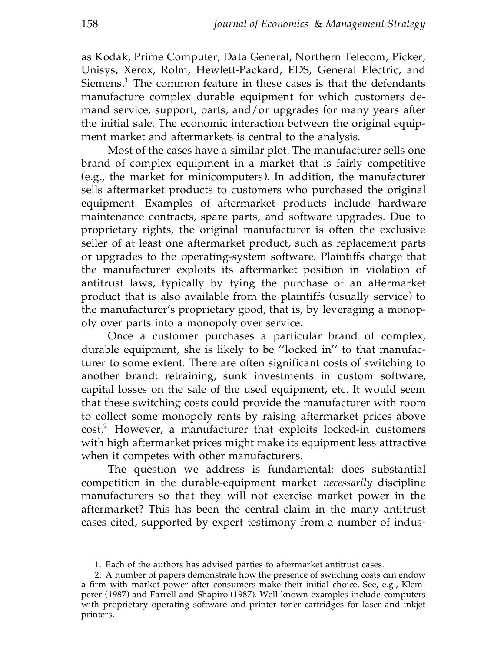as Kodak, Prime Computer, Data General, Northern Telecom, Picker, Unisys, Xerox, Rolm, Hewlett-Packard, EDS, General Electric, and Siemens.<sup>1</sup> The common feature in these cases is that the defendants manufacture complex durable equipment for which customers de-<br>mand service, support, parts, and/or upgrades for many years after mand service, support, parts, and/or upgrades for many years after<br>the initial sale. The economic interaction between the original equipment market and aftermarkets is central to the analysis.

Most of the cases have a similar plot. The manufacturer sells one brand of complex equipment in a market that is fairly competitive  $(e.g., the market for minicomputers)$ . In addition, the manufacturer sells aftermarket products to customers who purchased the original equipment. Examples of aftermarket products include hardware maintenance contracts, spare parts, and software upgrades. Due to proprietary rights, the original manufacturer is often the exclusive seller of at least one aftermarket product, such as replacement parts or upgrades to the operating-system software. Plaintiffs charge that the manufacturer exploits its aftermarket position in violation of antitrust laws, typically by tying the purchase of an aftermarket product that is also available from the plaintiffs (usually service) to the manufacturer's proprietary good, that is, by leveraging a monopoly over parts into a monopoly over service.

Once a customer purchases a particular brand of complex, durable equipment, she is likely to be ''locked in'' to that manufacturer to some extent. There are often significant costs of switching to another brand: retraining, sunk investments in custom software, capital losses on the sale of the used equipment, etc. It would seem that these switching costs could provide the manufacturer with room to collect some monopoly rents by raising aftermarket prices above cost. <sup>2</sup> However, a manufacturer that exploits locked-in customers with high aftermarket prices might make its equipment less attractive when it competes with other manufacturers.

The question we address is fundamental: does substantial competition in the durable-equipment market *necessarily* discipline manufacturers so that they will not exercise market power in the aftermarket? This has been the central claim in the many antitrust cases cited, supported by expert testimony from a number of indus-

<sup>1</sup>. Each of the authors has advised parties to aftermarket antitrust cases.

<sup>2</sup>. A number of papers demonstrate how the presence of switching costs can endow a firm with market power after consumers make their initial choice. See, e.g., Klemperer (1987) and Farrell and Shapiro (1987). Well-known examples include computers with proprietary operating software and printer toner cartridges for laser and inkjet printers.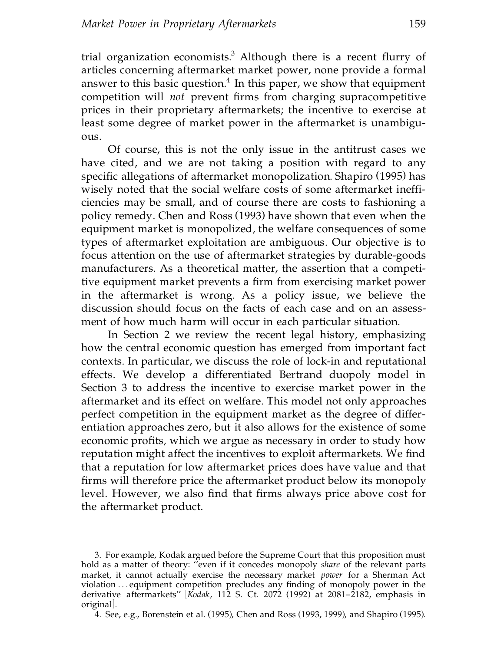trial organization economists. <sup>3</sup> Although there is a recent flurry of articles concerning aftermarket market power, none provide a formal answer to this basic question. $^4$  In this paper, we show that equipment competition will *not* prevent firms from charging supracompetitive prices in their proprietary aftermarkets; the incentive to exercise at least some degree of market power in the aftermarket is unambiguous.

Of course, this is not the only issue in the antitrust cases we have cited, and we are not taking a position with regard to any specific allegations of aftermarket monopolization. Shapiro (1995) has wisely noted that the social welfare costs of some aftermarket inefficiencies may be small, and of course there are costs to fashioning a policy remedy. Chen and Ross (1993) have shown that even when the equipment market is monopolized, the welfare consequences of some types of aftermarket exploitation are ambiguous. Our objective is to focus attention on the use of aftermarket strategies by durable-goods manufacturers. As a theoretical matter, the assertion that a competitive equipment market prevents a firm from exercising market power in the aftermarket is wrong. As a policy issue, we believe the discussion should focus on the facts of each case and on an assessment of how much harm will occur in each particular situation.

In Section 2 we review the recent legal history, emphasizing how the central economic question has emerged from important fact contexts. In particular, we discuss the role of lock-in and reputational effects. We develop a differentiated Bertrand duopoly model in Section 3 to address the incentive to exercise market power in the aftermarket and its effect on welfare. This model not only approaches perfect competition in the equipment market as the degree of differentiation approaches zero, but it also allows for the existence of some economic profits, which we argue as necessary in order to study how reputation might affect the incentives to exploit aftermarkets. We find that a reputation for low aftermarket prices does have value and that firms will therefore price the aftermarket product below its monopoly level. However, we also find that firms always price above cost for the aftermarket product.

3. For example, Kodak argued before the Supreme Court that this proposition must hold as a matter of theory: ''even if it concedes monopoly *share* of the relevant parts market, it cannot actually exercise the necessary market *power* for a Sherman Act violation ... equipment competition precludes any finding of monopoly power in the derivative aftermarkets" | Kodak, 112 S. Ct. 2072 (1992) at 2081-2182, emphasis in original.

4. See, e.g., Borenstein et al. (1995), Chen and Ross (1993, 1999), and Shapiro (1995).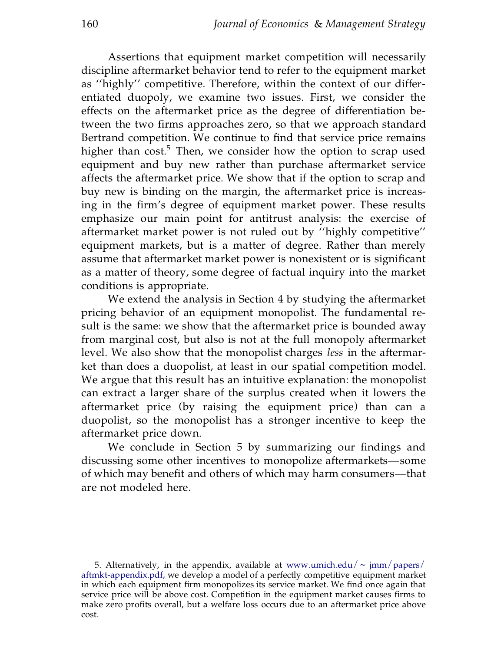Assertions that equipment market competition will necessarily discipline aftermarket behavior tend to refer to the equipment market as ''highly'' competitive. Therefore, within the context of our differentiated duopoly, we examine two issues. First, we consider the effects on the aftermarket price as the degree of differentiation between the two firms approaches zero, so that we approach standard Bertrand competition. We continue to find that service price remains higher than cost.<sup>5</sup> Then, we consider how the option to scrap used equipment and buy new rather than purchase aftermarket service affects the aftermarket price. We show that if the option to scrap and buy new is binding on the margin, the aftermarket price is increasing in the firm's degree of equipment market power. These results emphasize our main point for antitrust analysis: the exercise of aftermarket market power is not ruled out by ''highly competitive'' equipment markets, but is a matter of degree. Rather than merely assume that aftermarket market power is nonexistent or is significant as a matter of theory, some degree of factual inquiry into the market conditions is appropriate.

We extend the analysis in Section 4 by studying the aftermarket pricing behavior of an equipment monopolist. The fundamental result is the same: we show that the aftermarket price is bounded away from marginal cost, but also is not at the full monopoly aftermarket level. We also show that the monopolist charges *less* in the aftermarket than does a duopolist, at least in our spatial competition model. We argue that this result has an intuitive explanation: the monopolist can extract a larger share of the surplus created when it lowers the aftermarket price (by raising the equipment price) than can a duopolist, so the monopolist has a stronger incentive to keep the aftermarket price down.

We conclude in Section 5 by summarizing our findings and discussing some other incentives to monopolize aftermarkets—some of which may benefit and others of which may harm consumers—that are not modeled here.

5. Alternatively, in the appendix, available at www.umich.edu/ $\sim$  jmm/papers/ aftmkt-appendix.pdf, we develop a model of a perfectly competitive equipment market in which each equipment firm monopolizes its service market. We find once again that service price will be above cost. Competition in the equipment market causes firms to make zero profits overall, but a welfare loss occurs due to an aftermarket price above cost.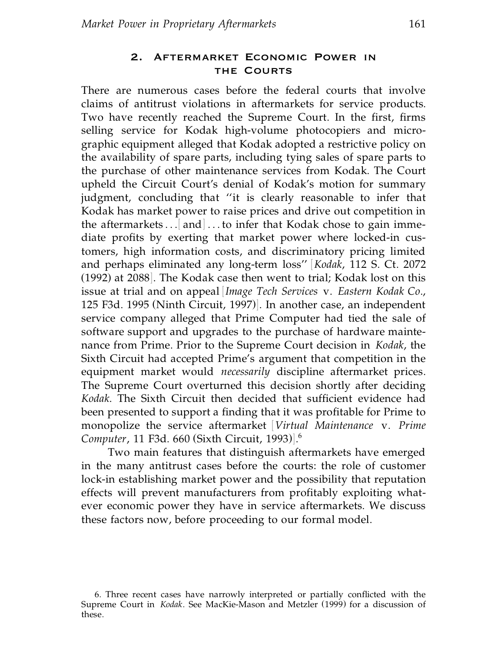### **2. Aftermarket Economic Power in the Courts**

There are numerous cases before the federal courts that involve claims of antitrust violations in aftermarkets for service products. Two have recently reached the Supreme Court. In the first, firms selling service for Kodak high-volume photocopiers and micrographic equipment alleged that Kodak adopted a restrictive policy on the availability of spare parts, including tying sales of spare parts to the purchase of other maintenance services from Kodak. The Court upheld the Circuit Court's denial of Kodak's motion for summary judgment, concluding that ''it is clearly reasonable to infer that Kodak has market power to raise prices and drive out competition in the aftermarkets  $\ldots$  [and ]... to infer that Kodak chose to gain immediate profits by exerting that market power where locked-in customers, high information costs, and discriminatory pricing limited and perhaps eliminated any long-term loss" [Kodak, 112 S. Ct. 2072] (1992) at 2088. The Kodak case then went to trial; Kodak lost on this issue at trial and on appeal *Image Tech Services* v. *Eastern Kodak Co.*, 125 F3d. 1995 (Ninth Circuit, 1997). In another case, an independent service company alleged that Prime Computer had tied the sale of software support and upgrades to the purchase of hardware maintenance from Prime. Prior to the Supreme Court decision in *Kodak*, the Sixth Circuit had accepted Prime's argument that competition in the equipment market would *necessarily* discipline aftermarket prices. The Supreme Court overturned this decision shortly after deciding *Kodak*. The Sixth Circuit then decided that sufficient evidence had been presented to support a finding that it was profitable for Prime to monopolize the service aftermarket *Virtual Maintenance* v. Prime Computer, 11 F3d. 660 (Sixth Circuit, 1993)<sup>[6]</sup>

Two main features that distinguish aftermarkets have emerged in the many antitrust cases before the courts: the role of customer lock-in establishing market power and the possibility that reputation effects will prevent manufacturers from profitably exploiting whatever economic power they have in service aftermarkets. We discuss these factors now, before proceeding to our formal model.

<sup>6</sup>. Three recent cases have narrowly interpreted or partially conflicted with the Supreme Court in *Kodak*. See MacKie-Mason and Metzler (1999) for a discussion of these.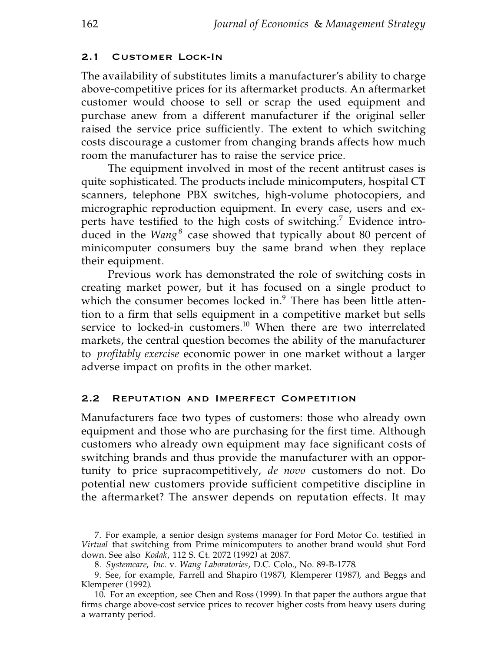### **2.1 Customer Lock-In**

The availability of substitutes limits a manufacturer's ability to charge above-competitive prices for its aftermarket products. An aftermarket customer would choose to sell or scrap the used equipment and purchase anew from a different manufacturer if the original seller raised the service price sufficiently. The extent to which switching costs discourage a customer from changing brands affects how much room the manufacturer has to raise the service price.

The equipment involved in most of the recent antitrust cases is quite sophisticated. The products include minicomputers, hospital CT scanners, telephone PBX switches, high-volume photocopiers, and micrographic reproduction equipment. In every case, users and experts have testified to the high costs of switching. $^7$  Evidence introduced in the *Wang*<sup>8</sup> case showed that typically about 80 percent of minicomputer consumers buy the same brand when they replace their equipment.

Previous work has demonstrated the role of switching costs in creating market power, but it has focused on a single product to which the consumer becomes locked in. <sup>9</sup> There has been little attention to a firm that sells equipment in a competitive market but sells service to locked-in customers. <sup>10</sup> When there are two interrelated markets, the central question becomes the ability of the manufacturer to *profitably exercise* economic power in one market without a larger adverse impact on profits in the other market.

#### **2.2 Reputation and Imperfect Competition**

Manufacturers face two types of customers: those who already own equipment and those who are purchasing for the first time. Although customers who already own equipment may face significant costs of switching brands and thus provide the manufacturer with an opportunity to price supracompetitively, *de novo* customers do not. Do potential new customers provide sufficient competitive discipline in the aftermarket? The answer depends on reputation effects. It may

<sup>7</sup>. For example, a senior design systems manager for Ford Motor Co. testified in *Virtual* that switching from Prime minicomputers to another brand would shut Ford down. See also *Kodak*, 112 S. Ct. 2072 (1992) at 2087.

<sup>8</sup>. *Systemcare*, *Inc*. v. *Wang Laboratories*, D.C. Colo., No. 89-B-1778.

<sup>9.</sup> See, for example, Farrell and Shapiro (1987), Klemperer (1987), and Beggs and Klemperer  $(1992)$ .

<sup>10.</sup> For an exception, see Chen and Ross (1999). In that paper the authors argue that firms charge above-cost service prices to recover higher costs from heavy users during a warranty period.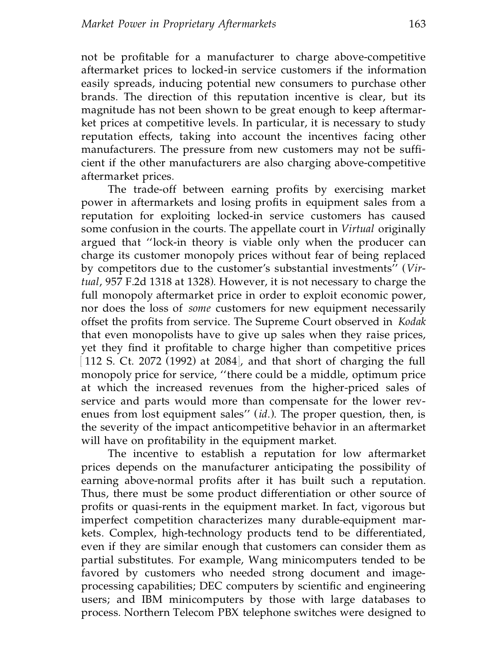not be profitable for a manufacturer to charge above-competitive aftermarket prices to locked-in service customers if the information easily spreads, inducing potential new consumers to purchase other brands. The direction of this reputation incentive is clear, but its magnitude has not been shown to be great enough to keep aftermarket prices at competitive levels. In particular, it is necessary to study reputation effects, taking into account the incentives facing other manufacturers. The pressure from new customers may not be sufficient if the other manufacturers are also charging above-competitive aftermarket prices.

The trade-off between earning profits by exercising market power in aftermarkets and losing profits in equipment sales from a reputation for exploiting locked-in service customers has caused some confusion in the courts. The appellate court in *Virtual* originally argued that ''lock-in theory is viable only when the producer can charge its customer monopoly prices without fear of being replaced by competitors due to the customer's substantial investments'' (*Virtual*, 957 F.2d 1318 at 1328). However, it is not necessary to charge the full monopoly aftermarket price in order to exploit economic power, nor does the loss of *some* customers for new equipment necessarily offset the profits from service. The Supreme Court observed in *Kodak* that even monopolists have to give up sales when they raise prices, yet they find it profitable to charge higher than competitive prices [112 S. Ct. 2072 (1992) at 2084], and that short of charging the full monopoly price for service, ''there could be a middle, optimum price at which the increased revenues from the higher-priced sales of service and parts would more than compensate for the lower revenues from lost equipment sales''  $(id)$ . The proper question, then, is the severity of the impact anticompetitive behavior in an aftermarket will have on profitability in the equipment market.

The incentive to establish a reputation for low aftermarket prices depends on the manufacturer anticipating the possibility of earning above-normal profits after it has built such a reputation. Thus, there must be some product differentiation or other source of profits or quasi-rents in the equipment market. In fact, vigorous but imperfect competition characterizes many durable-equipment markets. Complex, high-technology products tend to be differentiated, even if they are similar enough that customers can consider them as partial substitutes. For example, Wang minicomputers tended to be favored by customers who needed strong document and imageprocessing capabilities; DEC computers by scientific and engineering users; and IBM minicomputers by those with large databases to process. Northern Telecom PBX telephone switches were designed to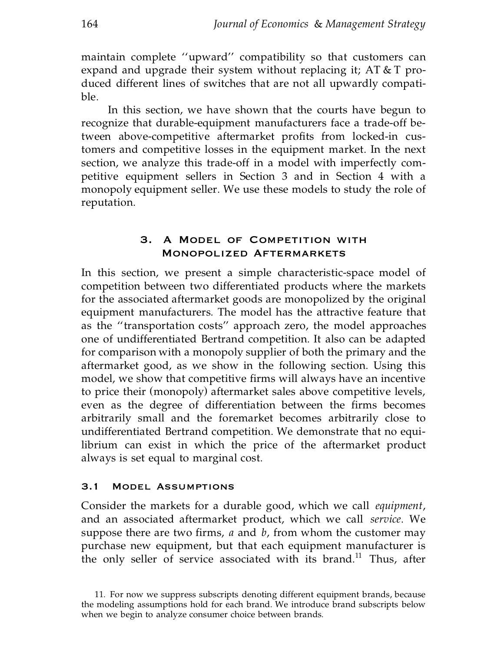maintain complete ''upward'' compatibility so that customers can expand and upgrade their system without replacing it; AT & T produced different lines of switches that are not all upwardly compatible.

In this section, we have shown that the courts have begun to recognize that durable-equipment manufacturers face a trade-off between above-competitive aftermarket profits from locked-in customers and competitive losses in the equipment market. In the next section, we analyze this trade-off in a model with imperfectly competitive equipment sellers in Section 3 and in Section 4 with a monopoly equipment seller. We use these models to study the role of reputation.

### **3. A Model of Competition with Monopolized Aftermarkets**

In this section, we present a simple characteristic-space model of competition between two differentiated products where the markets for the associated aftermarket goods are monopolized by the original equipment manufacturers. The model has the attractive feature that as the ''transportation costs'' approach zero, the model approaches one of undifferentiated Bertrand competition. It also can be adapted for comparison with a monopoly supplier of both the primary and the aftermarket good, as we show in the following section. Using this model, we show that competitive firms will always have an incentive to price their (monopoly) aftermarket sales above competitive levels, even as the degree of differentiation between the firms becomes arbitrarily small and the foremarket becomes arbitrarily close to undifferentiated Bertrand competition. We demonstrate that no equilibrium can exist in which the price of the aftermarket product always is set equal to marginal cost.

### **3.1 Model Assumptions**

Consider the markets for a durable good, which we call *equipment*, and an associated aftermarket product, which we call *service*. We suppose there are two firms, *a* and *b*, from whom the customer may purchase new equipment, but that each equipment manufacturer is the only seller of service associated with its brand.<sup>11</sup> Thus, after

<sup>11</sup>. For now we suppress subscripts denoting different equipment brands, because the modeling assumptions hold for each brand. We introduce brand subscripts below when we begin to analyze consumer choice between brands.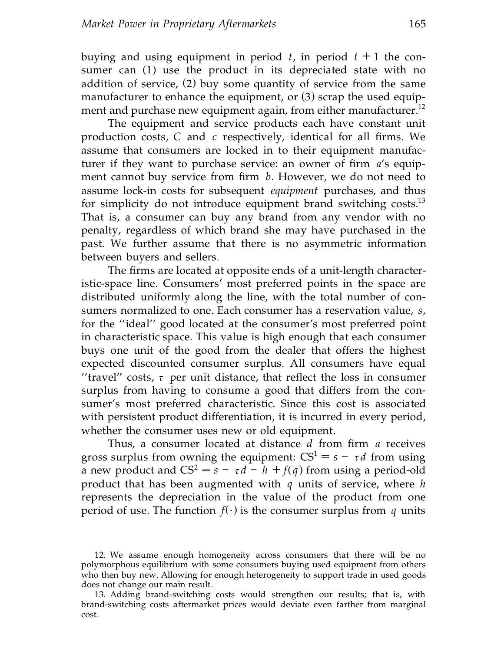buying and using equipment in period  $t$ , in period  $t + 1$  the consumer can  $(1)$  use the product in its depreciated state with no addition of service,  $(2)$  buy some quantity of service from the same manufacturer to enhance the equipment, or  $(3)$  scrap the used equipment and purchase new equipment again*,* from either manufacturer.<sup>12</sup>

The equipment and service products each have constant unit production costs, *C* and *c* respectively, identical for all firms. We assume that consumers are locked in to their equipment manufacturer if they want to purchase service: an owner of firm *a*'s equipment cannot buy service from firm *b*. However, we do not need to assume lock-in costs for subsequent *equipment* purchases, and thus for simplicity do not introduce equipment brand switching costs.<sup>13</sup> That is, a consumer can buy any brand from any vendor with no penalty, regardless of which brand she may have purchased in the past. We further assume that there is no asymmetric information between buyers and sellers.

The firms are located at opposite ends of a unit-length characteristic-space line. Consumers' most preferred points in the space are distributed uniformly along the line, with the total number of consumers normalized to one. Each consumer has a reservation value, *s*, for the ''ideal'' good located at the consumer's most preferred point in characteristic space. This value is high enough that each consumer buys one unit of the good from the dealer that offers the highest expected discounted consumer surplus. All consumers have equal "travel" costs,  $\tau$  per unit distance, that reflect the loss in consumer surplus from having to consume a good that differs from the consumer's most preferred characteristic. Since this cost is associated with persistent product differentiation, it is incurred in every period, whether the consumer uses new or old equipment.

Thus, a consumer located at distance *d* from firm *a* receives gross surplus from owning the equipment:  $CS^1 = s - \tau d$  from using a new product and  $CS^2 = s - \tau d - h + f(q)$  from using a period-old product that has been augmented with *q* units of service, where *h* represents the depreciation in the value of the product from one period of use. The function  $f(\cdot)$  is the consumer surplus from *q* units

<sup>12</sup>. We assume enough homogeneity across consumers that there will be no polymorphous equilibrium with some consumers buying used equipment from others who then buy new. Allowing for enough heterogeneity to support trade in used goods does not change our main result.

<sup>13</sup>. Adding brand-switching costs would strengthen our results; that is, with brand-switching costs aftermarket prices would deviate even farther from marginal cost.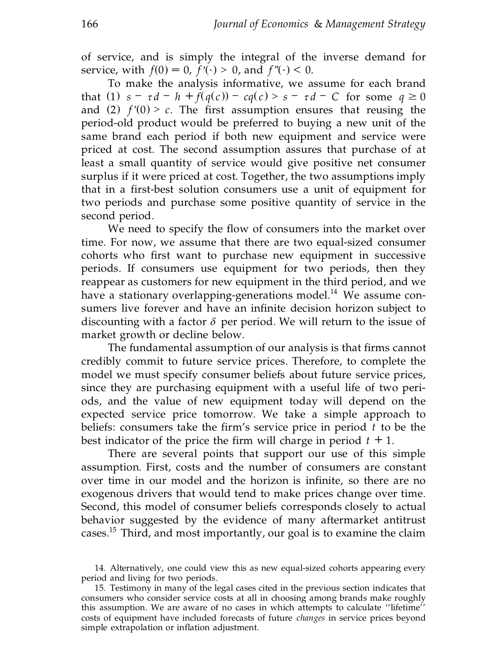of service, and is simply the integral of the inverse demand for service, with  $f(0) = 0$ ,  $f'(\cdot) > 0$ , and  $f''(\cdot) < 0$ .<br>To make the analysis informative, we a

To make the analysis informative, we assume for each brand that (1)  $s - \tau d - h + f(q(c)) - cq(c) > s - \tau d - C$  for some  $q \ge 0$ and (2)  $f'(0) > c$ . The first assumption ensures that reusing the period-old product would be preferred to buying a new unit of the same brand each period if both new equipment and service were priced at cost. The second assumption assures that purchase of at least a small quantity of service would give positive net consumer surplus if it were priced at cost. Together, the two assumptions imply that in a first-best solution consumers use a unit of equipment for two periods and purchase some positive quantity of service in the second period.

We need to specify the flow of consumers into the market over time. For now, we assume that there are two equal-sized consumer cohorts who first want to purchase new equipment in successive periods. If consumers use equipment for two periods, then they reappear as customers for new equipment in the third period, and we have a stationary overlapping-generations model.<sup>14</sup> We assume consumers live forever and have an infinite decision horizon subject to discounting with a factor  $\delta$  per period. We will return to the issue of market growth or decline below.

The fundamental assumption of our analysis is that firms cannot credibly commit to future service prices. Therefore, to complete the model we must specify consumer beliefs about future service prices, since they are purchasing equipment with a useful life of two periods, and the value of new equipment today will depend on the expected service price tomorrow. We take a simple approach to beliefs: consumers take the firm's service price in period *t* to be the best indicator of the price the firm will charge in period  $t + 1$ .

There are several points that support our use of this simple assumption. First, costs and the number of consumers are constant over time in our model and the horizon is infinite, so there are no exogenous drivers that would tend to make prices change over time. Second, this model of consumer beliefs corresponds closely to actual behavior suggested by the evidence of many aftermarket antitrust cases.<sup>15</sup> Third*,* and most importantly*,* our goal is to examine the claim

<sup>14</sup>. Alternatively, one could view this as new equal-sized cohorts appearing every period and living for two periods.

<sup>15</sup>. Testimony in many of the legal cases cited in the previous section indicates that consumers who consider service costs at all in choosing among brands make roughly this assumption. We are aware of no cases in which attempts to calculate ''lifetime'' costs of equipment have included forecasts of future *changes* in service prices beyond simple extrapolation or inflation adjustment.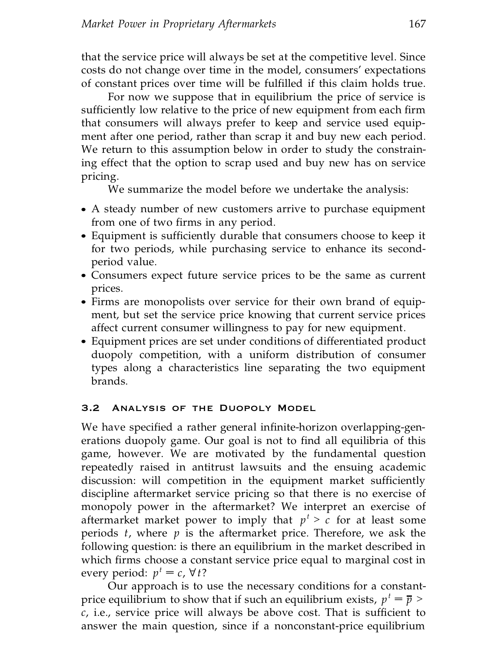that the service price will always be set at the competitive level. Since costs do not change over time in the model, consumers' expectations of constant prices over time will be fulfilled if this claim holds true.

For now we suppose that in equilibrium the price of service is sufficiently low relative to the price of new equipment from each firm that consumers will always prefer to keep and service used equipment after one period, rather than scrap it and buy new each period. We return to this assumption below in order to study the constraining effect that the option to scrap used and buy new has on service pricing.

We summarize the model before we undertake the analysis:

- A steady number of new customers arrive to purchase equipment from one of two firms in any period.
- Equipment is sufficiently durable that consumers choose to keep it for two periods, while purchasing service to enhance its secondperiod value.
- <sup>v</sup> Consumers expect future service prices to be the same as current prices.
- Firms are monopolists over service for their own brand of equipment, but set the service price knowing that current service prices affect current consumer willingness to pay for new equipment.
- Equipment prices are set under conditions of differentiated product duopoly competition, with a uniform distribution of consumer types along a characteristics line separating the two equipment brands.

### **3.2 Analysis of the Duopoly Model**

We have specified a rather general infinite-horizon overlapping-generations duopoly game. Our goal is not to find all equilibria of this game, however. We are motivated by the fundamental question repeatedly raised in antitrust lawsuits and the ensuing academic discussion: will competition in the equipment market sufficiently discipline aftermarket service pricing so that there is no exercise of monopoly power in the aftermarket? We interpret an exercise of aftermarket market power to imply that  $p^t > c$  for at least some periods *t*, where *p* is the aftermarket price. Therefore, we ask the following question: is there an equilibrium in the market described in which firms choose a constant service price equal to marginal cost in every period:  $p^t = c$ ,  $\forall t$ ?

Our approach is to use the necessary conditions for a constant*the* price equilibrium to show that if such an equilibrium exists,  $p^t = \overline{p}$  > *c*, i.e., service price will always be above cost. That is sufficient to answer the main question, since if a nonconstant-price equilibrium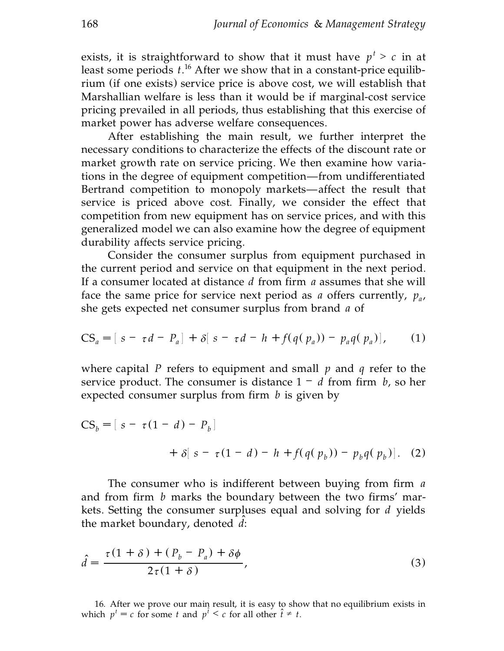exists, it is straightforward to show that it must have  $p^t > c$  in at least some periods *t*. <sup>16</sup> After we show that in a constant-price equilibrium (if one exists) service price is above cost, we will establish that Marshallian welfare is less than it would be if marginal-cost service pricing prevailed in all periods, thus establishing that this exercise of market power has adverse welfare consequences.

After establishing the main result, we further interpret the necessary conditions to characterize the effects of the discount rate or market growth rate on service pricing. We then examine how variations in the degree of equipment competition—from undifferentiated Bertrand competition to monopoly markets—affect the result that service is priced above cost. Finally, we consider the effect that competition from new equipment has on service prices, and with this generalized model we can also examine how the degree of equipment durability affects service pricing.

Consider the consumer surplus from equipment purchased in the current period and service on that equipment in the next period. If a consumer located at distance *d* from firm *a* assumes that she will face the same price for service next period as *a* offers currently,  $p_{a}$ , she gets expected net consumer surplus from brand *a* of

$$
CS_a = [s - \tau d - P_a] + \delta[s - \tau d - h + f(q(p_a)) - p_a q(p_a)],
$$
 (1)

where capital *P* refers to equipment and small *p* and *q* refer to the service product. The consumer is distance  $1 - d$  from firm *b*, so her expected consumer surplus from firm *b* is given by

$$
CS_b = [s - \tau(1 - d) - P_b]
$$
  
+  $\delta[s - \tau(1 - d) - h + f(q(p_b)) - p_b q(p_b)].$  (2)

The consumer who is indifferent between buying from firm *a* and from firm *b* marks the boundary between the two firms' markets. Setting the consumer surpluses equal and solving for *d* yields the market boundary, denoted *d*:

$$
\hat{d} = \frac{\tau(1+\delta) + (P_b - P_a) + \delta\phi}{2\tau(1+\delta)},
$$
\n(3)

16. After we prove our main result, it is easy to show that no equilibrium exists in which  $p^t = c$  for some *t* and  $p^t \leq c$  for all other  $\hat{t} \neq t$ .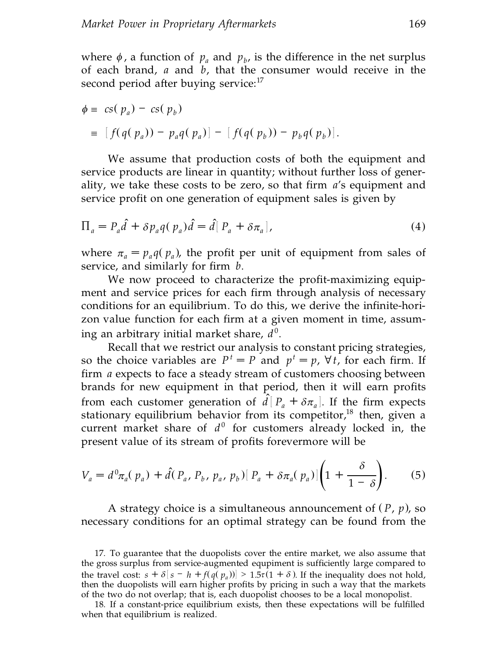where  $\phi$ , a function of  $p_a$  and  $p_b$ , is the difference in the net surplus of each brand, *a* and *b*, that the consumer would receive in the second period after buying service:<sup>17</sup>

$$
\begin{aligned} \phi &= \ c s(\ p_a) - c s(\ p_b) \\ &= \left[ f(q(p_a)) - p_a q(p_a) \right] - \left[ f(q(p_b)) - p_b q(p_b) \right]. \end{aligned}
$$

We assume that production costs of both the equipment and service products are linear in quantity; without further loss of generality, we take these costs to be zero, so that firm *a*'s equipment and service profit on one generation of equipment sales is given by

$$
\Pi_a = P_a \hat{d} + \delta p_a q (p_a) \hat{d} = \hat{d} [P_a + \delta \pi_a], \tag{4}
$$

where  $\pi_a = p_a q(p_a)$ , the profit per unit of equipment from sales of service, and similarly for firm *b*.

We now proceed to characterize the profit-maximizing equipment and service prices for each firm through analysis of necessary conditions for an equilibrium. To do this, we derive the infinite-horizon value function for each firm at a given moment in time, assuming an arbitrary initial market share*, d*<sup>0</sup>.

Recall that we restrict our analysis to constant pricing strategies, so the choice variables are  $P^t = P$  and  $p^t = p$ ,  $\forall t$ , for each firm. If firm *a* expects to face a steady stream of customers choosing between brands for new equipment in that period, then it will earn profits from each customer generation of  $\hat{d} [P_a + \delta \pi_a]$ . If the firm expects stationary equilibrium behavior from its competitor, $18$  then, given a current market share of  $d^0$  for customers already locked in, the present value of its stream of profits forevermore will be

$$
V_a = d^0 \pi_a(p_a) + \hat{d}(P_a, P_b, p_a, p_b) [P_a + \delta \pi_a(p_a)] \left(1 + \frac{\delta}{1 - \delta}\right).
$$
 (5)

A strategy choice is a simultaneous announcement of  $(P, p)$ , so necessary conditions for an optimal strategy can be found from the

<sup>17</sup>. To guarantee that the duopolists cover the entire market, we also assume that the gross surplus from service-augmented equpiment is sufficiently large compared to the travel cost:  $s + \delta [s - h + f(q(p_a))] > 1.5\tau (1 + \delta)$ . If the inequality does not hold, then the duopolists will earn higher profits by pricing in such a way that the markets of the two do not overlap; that is, each duopolist chooses to be a local monopolist.

<sup>18</sup>. If a constant-price equilibrium exists, then these expectations will be fulfilled when that equilibrium is realized.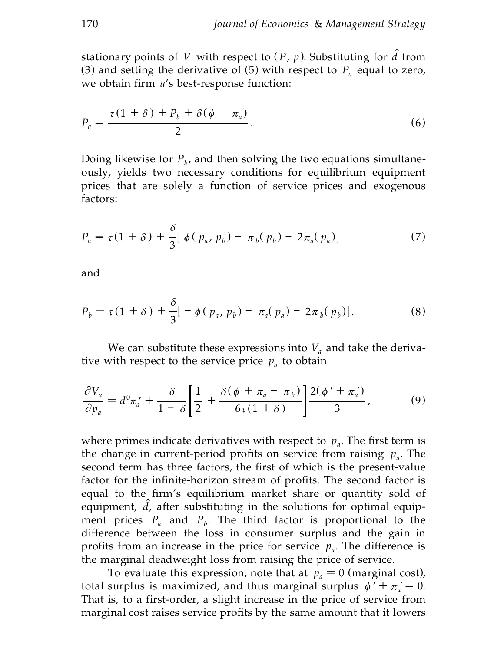stationary points of *V* with respect to  $(P, p)$ . Substituting for  $\hat{d}$  from (3) and setting the derivative of (5) with respect to  $P_a$  equal to zero, we obtain firm *a*'s best-response function:

$$
P_a = \frac{\tau(1+\delta) + P_b + \delta(\phi - \pi_a)}{2}.
$$
\n<sup>(6)</sup>

Doing likewise for  $P_b$ , and then solving the two equations simultaneously, yields two necessary conditions for equilibrium equipment prices that are solely a function of service prices and exogenous factors:

$$
P_a = \tau (1 + \delta) + \frac{\delta}{3} [\phi (p_a, p_b) - \pi_b (p_b) - 2 \pi_a (p_a)] \tag{7}
$$

and

$$
P_b = \tau (1 + \delta) + \frac{\delta}{3} [-\phi (p_a, p_b) - \pi_a (p_a) - 2\pi_b (p_b)]. \tag{8}
$$

We can substitute these expressions into  $V_a$  and take the derivative with respect to the service price  $p_a$  to obtain

$$
\frac{\partial V_a}{\partial p_a} = d^0 \pi'_a + \frac{\delta}{1 - \delta} \left[ \frac{1}{2} + \frac{\delta (\phi + \pi_a - \pi_b)}{6\tau (1 + \delta)} \right] \frac{2(\phi' + \pi'_a)}{3},\tag{9}
$$

where primes indicate derivatives with respect to  $p_a$ . The first term is the change in current-period profits on service from raising  $p_a$ . The second term has three factors, the first of which is the present-value factor for the infinite-horizon stream of profits. The second factor is equal to the firm's equilibrium market share or quantity sold of equipment, *d*, after substituting in the solutions for optimal equipment prices  $P_a$  and  $P_b$ . The third factor is proportional to the difference between the loss in consumer surplus and the gain in profits from an increase in the price for service  $p_a$ . The difference is the marginal deadweight loss from raising the price of service.

To evaluate this expression, note that at  $p_a = 0$  (marginal cost), total surplus is maximized, and thus marginal surplus  $\phi' + \pi_a' = 0$ .<br>That is to a first-order a slight increase in the price of service from That is, to a first-order, a slight increase in the price of service from marginal cost raises service profits by the same amount that it lowers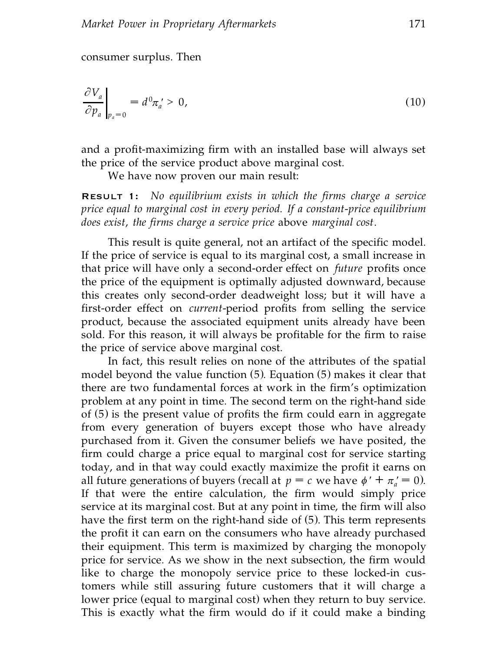consumer surplus. Then

$$
\left. \frac{\partial V_a}{\partial p_a} \right|_{p_a = 0} = d^0 \pi_a' > 0,
$$
\n(10)

and a profit-maximizing firm with an installed base will always set the price of the service product above marginal cost.

We have now proven our main result:

**Result 1:** *No equilibrium exists in which the firms charge a service price equal to marginal cost in every period*. *If a constant*-*price equilibrium does exist*, *the firms charge a service price* above *marginal cost*.

This result is quite general, not an artifact of the specific model. If the price of service is equal to its marginal cost, a small increase in that price will have only a second-order effect on *future* profits once the price of the equipment is optimally adjusted downward, because this creates only second-order deadweight loss; but it will have a first-order effect on *current*-period profits from selling the service product, because the associated equipment units already have been sold. For this reason, it will always be profitable for the firm to raise the price of service above marginal cost.

In fact, this result relies on none of the attributes of the spatial model beyond the value function  $(5)$ . Equation  $(5)$  makes it clear that there are two fundamental forces at work in the firm's optimization problem at any point in time. The second term on the right-hand side of  $(5)$  is the present value of profits the firm could earn in aggregate from every generation of buyers except those who have already purchased from it. Given the consumer beliefs we have posited, the firm could charge a price equal to marginal cost for service starting today, and in that way could exactly maximize the profit it earns on all future generations of buyers (recall at *p* = *c* we have  $\phi' + \pi_a' = 0$ ). If that were the entire calculation, the firm would simply price service at its marginal cost. But at any point in time, the firm will also have the first term on the right-hand side of  $(5)$ . This term represents the profit it can earn on the consumers who have already purchased their equipment. This term is maximized by charging the monopoly price for service. As we show in the next subsection, the firm would like to charge the monopoly service price to these locked-in customers while still assuring future customers that it will charge a lower price (equal to marginal cost) when they return to buy service. This is exactly what the firm would do if it could make a binding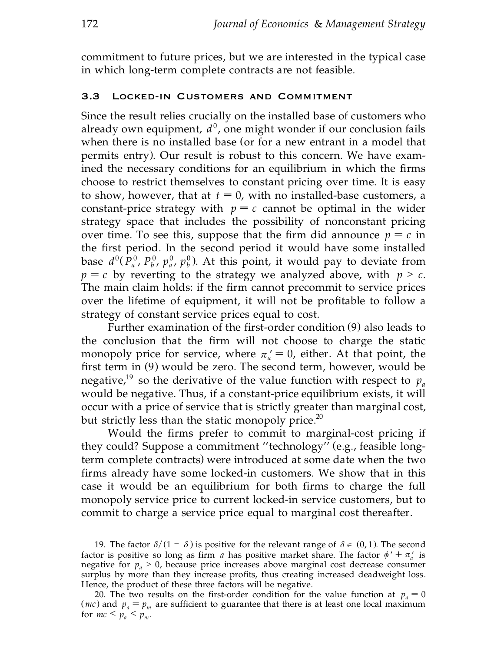commitment to future prices, but we are interested in the typical case in which long-term complete contracts are not feasible.

#### **3.3 Locked-in Customers and Commitment**

Since the result relies crucially on the installed base of customers who already own equipment,  $d^0$ , one might wonder if our conclusion fails when there is no installed base (or for a new entrant in a model that permits entry). Our result is robust to this concern. We have examined the necessary conditions for an equilibrium in which the firms choose to restrict themselves to constant pricing over time. It is easy to show, however, that at  $t = 0$ , with no installed-base customers, a constant-price strategy with  $p = c$  cannot be optimal in the wider strategy space that includes the possibility of nonconstant pricing over time. To see this, suppose that the firm did announce  $p = c$  in the first period. In the second period it would have some installed base  $d^0(P_a^0, P_b^0, p_a^0, p_b^0)$ . At this point, it would pay to deviate from  $p = c$  by reverting to the strategy we analyzed above, with  $p > c$ . The main claim holds: if the firm cannot precommit to service prices over the lifetime of equipment, it will not be profitable to follow a strategy of constant service prices equal to cost.

Further examination of the first-order condition  $(9)$  also leads to the conclusion that the firm will not choose to charge the static monopoly price for service, where  $\pi_a' = 0$ , either. At that point, the *first* term in (9) would be zero. The second term however, would be first term in  $(9)$  would be zero. The second term, however, would be negative,<sup>19</sup> so the derivative of the value function with respect to  $p_a$ would be negative. Thus, if a constant-price equilibrium exists, it will occur with a price of service that is strictly greater than marginal cost, but strictly less than the static monopoly price.<sup>20</sup>

Would the firms prefer to commit to marginal-cost pricing if they could? Suppose a commitment "technology" (e.g., feasible longterm complete contracts) were introduced at some date when the two firms already have some locked-in customers. We show that in this case it would be an equilibrium for both firms to charge the full monopoly service price to current locked-in service customers, but to commit to charge a service price equal to marginal cost thereafter.

<sup>19.</sup> The factor  $\delta/(1 - \delta)$  is positive for the relevant range of  $\delta \in (0, 1)$ . The second factor is positive so long as firm *a* has positive market share. The factor  $\phi' + \pi_a'$  is negative for  $p_a > 0$ , because price increases above marginal cost decrease consumer surplus by more than they increase profits, thus creating increased deadweight loss. Hence, the product of these three factors will be negative.

<sup>20.</sup> The two results on the first-order condition for the value function at  $p_a = 0$ (*mc*) and  $p_a = p_m$  are sufficient to guarantee that there is at least one local maximum for  $mc < p_a < p_m$ .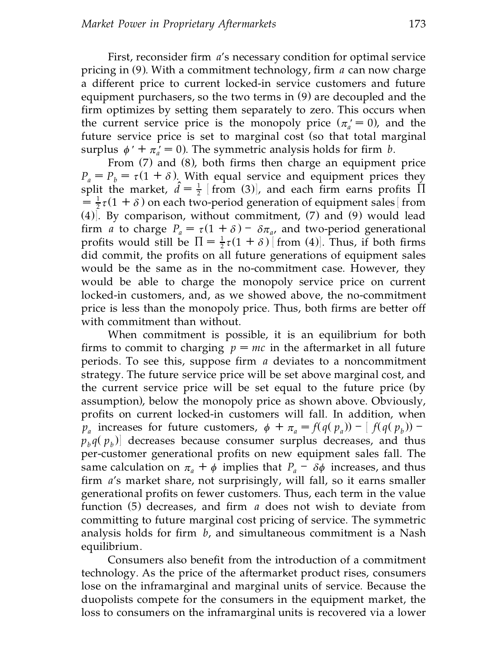First, reconsider firm *a*'s necessary condition for optimal service pricing in (9). With a commitment technology, firm *a* can now charge a different price to current locked-in service customers and future equipment purchasers, so the two terms in  $(9)$  are decoupled and the firm optimizes by setting them separately to zero. This occurs when the current service price is the monopoly price  $(\pi_a' = 0)$ , and the future service price is set to marginal cost (so that total marginal surplus  $\phi' + \pi_a' = 0$ ). The symmetric analysis holds for firm *b*.

From  $(7)$  and  $(8)$ , both firms then charge an equipment price  $P_a = P_b = \tau (1 + \delta)$ . With equal service and equipment prices they split the market,  $\hat{d} = \frac{1}{2}$  [from (3)], and each firm earns profits  $\Pi$  $=\frac{1}{2}\tau(1+\delta)$  on each two-period generation of equipment sales from<br>(4) By comparison, without commitment (7) and (9) would lead (4)]. By comparison, without commitment,  $(7)$  and  $(9)$  would lead firm *a* to charge  $P_a = \tau (1 + \delta) - \delta \pi_a$ , and two-period generational profits would still be  $\Pi = \frac{1}{2}\tau (1 + \delta)$  from (4). Thus, if both firms did commit, the profits on all future generations of equipment sales would be the same as in the no-commitment case. However, they would be able to charge the monopoly service price on current locked-in customers, and, as we showed above, the no-commitment price is less than the monopoly price. Thus, both firms are better off with commitment than without.

When commitment is possible, it is an equilibrium for both firms to commit to charging  $p = mc$  in the aftermarket in all future periods. To see this, suppose firm *a* deviates to a noncommitment strategy. The future service price will be set above marginal cost, and the current service price will be set equal to the future price (by assumption), below the monopoly price as shown above. Obviously, profits on current locked-in customers will fall. In addition, when *p<sub>a</sub>* increases for future customers,  $\phi + \pi_a = f(q(p_a)) - [f(q(p_b))$  $p_{b} q(p_{b})$  decreases because consumer surplus decreases, and thus per-customer generational profits on new equipment sales fall. The same calculation on  $\pi_a + \phi$  implies that  $P_a - \delta \phi$  increases, and thus firm *a*'s market share, not surprisingly, will fall, so it earns smaller generational profits on fewer customers. Thus, each term in the value function  $(5)$  decreases, and firm  $a$  does not wish to deviate from committing to future marginal cost pricing of service. The symmetric analysis holds for firm *b*, and simultaneous commitment is a Nash equilibrium.

Consumers also benefit from the introduction of a commitment technology. As the price of the aftermarket product rises, consumers lose on the inframarginal and marginal units of service. Because the duopolists compete for the consumers in the equipment market, the loss to consumers on the inframarginal units is recovered via a lower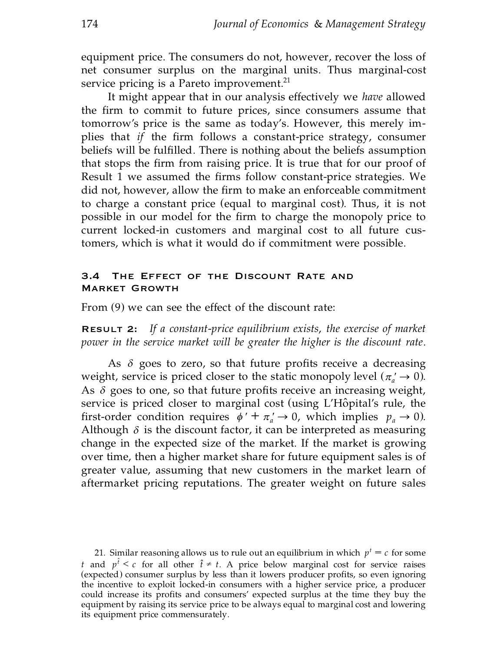equipment price. The consumers do not, however, recover the loss of net consumer surplus on the marginal units. Thus marginal-cost service pricing is a Pareto improvement.<sup>21</sup>

It might appear that in our analysis effectively we *have* allowed the firm to commit to future prices, since consumers assume that tomorrow's price is the same as today's. However, this merely implies that *if* the firm follows a constant-price strategy, consumer beliefs will be fulfilled. There is nothing about the beliefs assumption that stops the firm from raising price. It is true that for our proof of Result 1 we assumed the firms follow constant-price strategies. We did not, however, allow the firm to make an enforceable commitment to charge a constant price (equal to marginal cost). Thus, it is not possible in our model for the firm to charge the monopoly price to current locked-in customers and marginal cost to all future customers, which is what it would do if commitment were possible.

### **3.4 The Effect of the Discount Rate and Market Growth**

From  $(9)$  we can see the effect of the discount rate:

**Result 2:** *If a constant*-*price equilibrium exists*, *the exercise of market power in the service market will be greater the higher is the discount rate*.

As  $\delta$  goes to zero, so that future profits receive a decreasing weight, service is priced closer to the static monopoly level  $(\pi_{a} \rightarrow 0)$ . As  $\delta$  goes to one, so that future profits receive an increasing weight, service is priced closer to marginal cost (using L'Hôpital's rule, the first-order condition requires  $\phi' + \pi_a' \rightarrow 0$ , which implies  $p_a \rightarrow 0$ ). Although  $\delta$  is the discount factor, it can be interpreted as measuring change in the expected size of the market. If the market is growing over time, then a higher market share for future equipment sales is of greater value, assuming that new customers in the market learn of aftermarket pricing reputations. The greater weight on future sales

21. Similar reasoning allows us to rule out an equilibrium in which  $p<sup>t</sup> = c$  for some *t* and  $p^{\hat{i}} < c$  for all other  $\hat{t} \neq t$ . A price below marginal cost for service raises (expected) consumer surplus by less than it lowers producer profits, so even ignoring the incentive to exploit locked-in consumers with a higher service price, a producer could increase its profits and consumers' expected surplus at the time they buy the equipment by raising its service price to be always equal to marginal cost and lowering its equipment price commensurately.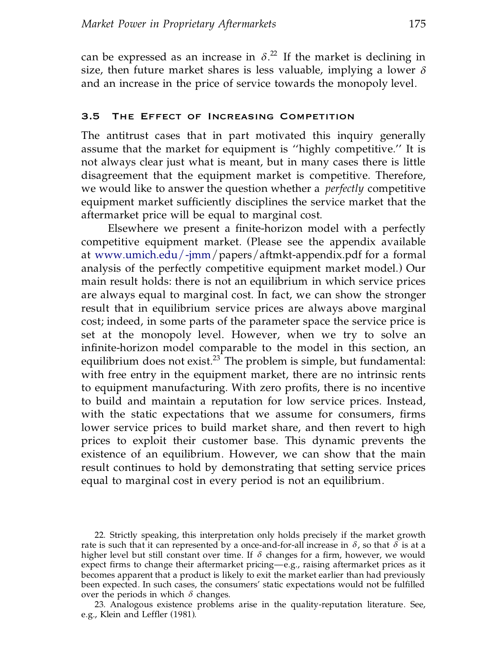can be expressed as an increase in  $\delta$ .<sup>22</sup> If the market is declining in size, then future market shares is less valuable, implying a lower  $\delta$ and an increase in the price of service towards the monopoly level.

#### **3.5 The Effect of Increasing Competition**

The antitrust cases that in part motivated this inquiry generally assume that the market for equipment is ''highly competitive.'' It is not always clear just what is meant, but in many cases there is little disagreement that the equipment market is competitive. Therefore, we would like to answer the question whether a *perfectly* competitive equipment market sufficiently disciplines the service market that the aftermarket price will be equal to marginal cost.

Elsewhere we present a finite-horizon model with a perfectly competitive equipment market. (Please see the appendix available at www.umich.edu/-jmm/papers/aftmkt-appendix.pdf for a formal analysis of the perfectly competitive equipment market model.) Our main result holds: there is not an equilibrium in which service prices are always equal to marginal cost. In fact, we can show the stronger result that in equilibrium service prices are always above marginal cost; indeed, in some parts of the parameter space the service price is set at the monopoly level. However, when we try to solve an infinite-horizon model comparable to the model in this section, an equilibrium does not exist.<sup>23</sup> The problem is simple, but fundamental: with free entry in the equipment market, there are no intrinsic rents to equipment manufacturing. With zero profits, there is no incentive to build and maintain a reputation for low service prices. Instead, with the static expectations that we assume for consumers, firms lower service prices to build market share, and then revert to high prices to exploit their customer base. This dynamic prevents the existence of an equilibrium. However, we can show that the main result continues to hold by demonstrating that setting service prices equal to marginal cost in every period is not an equilibrium.

23. Analogous existence problems arise in the quality-reputation literature. See, e.g., Klein and Leffler (1981).

<sup>22</sup>. Strictly speaking, this interpretation only holds precisely if the market growth rate is such that it can represented by a once-and-for-all increase in  $\delta$ , so that  $\delta$  is at a higher level but still constant over time. If *d* changes for a firm, however, we would expect firms to change their aftermarket pricing—e.g., raising aftermarket prices as it becomes apparent that a product is likely to exit the market earlier than had previously been expected. In such cases, the consumers' static expectations would not be fulfilled over the periods in which  $\delta$  changes.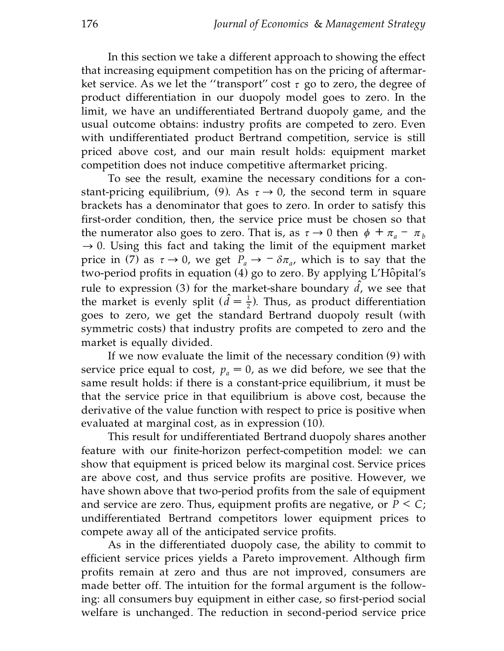In this section we take a different approach to showing the effect that increasing equipment competition has on the pricing of aftermarket service. As we let the "transport" cost  $\tau$  go to zero, the degree of product differentiation in our duopoly model goes to zero. In the limit, we have an undifferentiated Bertrand duopoly game, and the usual outcome obtains: industry profits are competed to zero. Even with undifferentiated product Bertrand competition, service is still priced above cost, and our main result holds: equipment market competition does not induce competitive aftermarket pricing.

To see the result, examine the necessary conditions for a constant-pricing equilibrium, (9). As  $\tau \rightarrow 0$ , the second term in square brackets has a denominator that goes to zero. In order to satisfy this first-order condition, then, the service price must be chosen so that the numerator also goes to zero. That is, as  $\tau \rightarrow 0$  then  $\phi + \pi_a - \pi_b$  $\rightarrow$  0. Using this fact and taking the limit of the equipment market price in (7) as  $\tau \rightarrow 0$ , we get  $P_a \rightarrow -\delta \pi_a$ , which is to say that the two-period profits in equation (4) go to zero. By applying L'Hôpital's rule to expression (3) for the market-share boundary  $\hat{d}$ , we see that the market is evenly split  $(\hat{d} = \frac{1}{2})$ . Thus, as product differentiation goes to zero, we get the standard Bertrand duopoly result (with symmetric costs) that industry profits are competed to zero and the market is equally divided.

If we now evaluate the limit of the necessary condition  $(9)$  with service price equal to cost,  $p_a = 0$ , as we did before, we see that the same result holds: if there is a constant-price equilibrium, it must be that the service price in that equilibrium is above cost, because the derivative of the value function with respect to price is positive when evaluated at marginal cost, as in expression (10).

This result for undifferentiated Bertrand duopoly shares another feature with our finite-horizon perfect-competition model: we can show that equipment is priced below its marginal cost. Service prices are above cost, and thus service profits are positive. However, we have shown above that two-period profits from the sale of equipment and service are zero. Thus, equipment profits are negative, or  $P \le C$ ; undifferentiated Bertrand competitors lower equipment prices to compete away all of the anticipated service profits.

As in the differentiated duopoly case, the ability to commit to efficient service prices yields a Pareto improvement. Although firm profits remain at zero and thus are not improved, consumers are made better off. The intuition for the formal argument is the following: all consumers buy equipment in either case, so first-period social welfare is unchanged. The reduction in second-period service price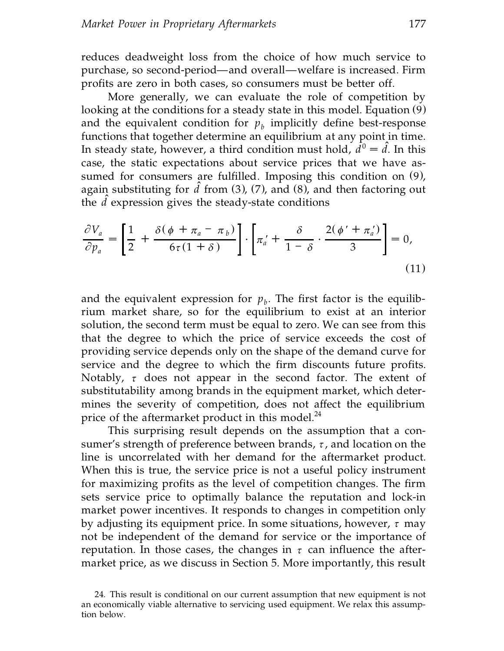reduces deadweight loss from the choice of how much service to purchase, so second-period—and overall—welfare is increased. Firm profits are zero in both cases, so consumers must be better off.

More generally, we can evaluate the role of competition by looking at the conditions for a steady state in this model. Equation  $(9)$ and the equivalent condition for  $p_b$  implicitly define best-response functions that together determine an equilibrium at any point in time. In steady state, however, a third condition must hold,  $d^0 = \hat{d}$ . In this case, the static expectations about service prices that we have assumed for consumers are fulfilled. Imposing this condition on  $(9)$ , again substituting for  $\hat{d}$  from (3), (7), and (8), and then factoring out the  $\hat{d}$  expression gives the steady-state conditions

$$
\frac{\partial V_a}{\partial p_a} = \left[ \frac{1}{2} + \frac{\delta(\phi + \pi_a - \pi_b)}{6\tau(1 + \delta)} \right] \cdot \left[ \pi_a' + \frac{\delta}{1 - \delta} \cdot \frac{2(\phi' + \pi_a')}{3} \right] = 0,
$$
\n(11)

and the equivalent expression for  $p<sub>b</sub>$ . The first factor is the equilibrium market share, so for the equilibrium to exist at an interior solution, the second term must be equal to zero. We can see from this that the degree to which the price of service exceeds the cost of providing service depends only on the shape of the demand curve for service and the degree to which the firm discounts future profits. Notably,  $\tau$  does not appear in the second factor. The extent of substitutability among brands in the equipment market, which determines the severity of competition, does not affect the equilibrium price of the aftermarket product in this model.<sup>24</sup>

This surprising result depends on the assumption that a consumer's strength of preference between brands, *t* , and location on the line is uncorrelated with her demand for the aftermarket product. When this is true, the service price is not a useful policy instrument for maximizing profits as the level of competition changes. The firm sets service price to optimally balance the reputation and lock-in market power incentives. It responds to changes in competition only by adjusting its equipment price. In some situations, however,  $\tau$  may not be independent of the demand for service or the importance of reputation. In those cases, the changes in  $\tau$  can influence the aftermarket price, as we discuss in Section 5. More importantly, this result

<sup>24</sup>. This result is conditional on our current assumption that new equipment is not an economically viable alternative to servicing used equipment. We relax this assumption below.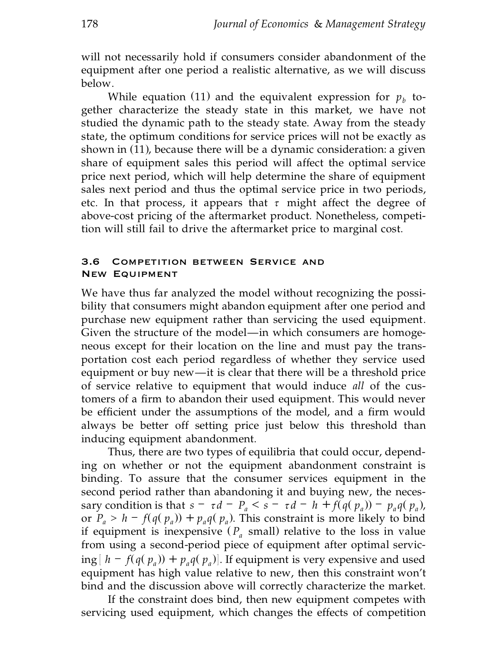will not necessarily hold if consumers consider abandonment of the equipment after one period a realistic alternative, as we will discuss below.

While equation (11) and the equivalent expression for  $p_b$  together characterize the steady state in this market, we have not studied the dynamic path to the steady state. Away from the steady state, the optimum conditions for service prices will not be exactly as shown in  $(11)$ , because there will be a dynamic consideration: a given share of equipment sales this period will affect the optimal service price next period, which will help determine the share of equipment sales next period and thus the optimal service price in two periods, etc. In that process, it appears that  $\tau$  might affect the degree of above-cost pricing of the aftermarket product. Nonetheless, competition will still fail to drive the aftermarket price to marginal cost.

### **3.6 Competition between Service and New Equipment**

We have thus far analyzed the model without recognizing the possibility that consumers might abandon equipment after one period and purchase new equipment rather than servicing the used equipment. Given the structure of the model—in which consumers are homogeneous except for their location on the line and must pay the transportation cost each period regardless of whether they service used equipment or buy new—it is clear that there will be a threshold price of service relative to equipment that would induce *all* of the customers of a firm to abandon their used equipment. This would never be efficient under the assumptions of the model, and a firm would always be better off setting price just below this threshold than inducing equipment abandonment.

Thus, there are two types of equilibria that could occur, depending on whether or not the equipment abandonment constraint is binding. To assure that the consumer services equipment in the second period rather than abandoning it and buying new, the necessary condition is that  $s - \tau d - P_a \leq s - \tau d - h + f(q(p_a)) - p_a q(p_a)$ , or  $P_a > h - f(q(p_a)) + p_a q(p_a)$ . This constraint is more likely to bind if equipment is inexpensive  $(P_a \text{ small})$  relative to the loss in value from using a second-period piece of equipment after optimal servicing  $h - f(q(p_a)) + p_a q(p_a)$ . If equipment is very expensive and used equipment has high value relative to new, then this constraint won't bind and the discussion above will correctly characterize the market.

If the constraint does bind, then new equipment competes with servicing used equipment, which changes the effects of competition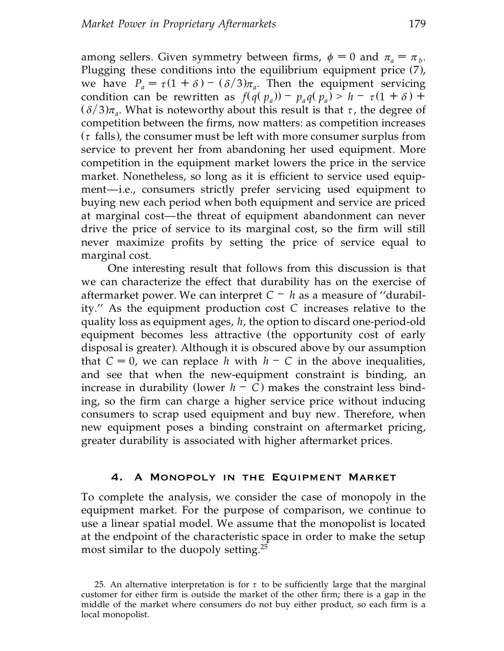among sellers. Given symmetry between firms,  $\phi = 0$  and  $\pi_a = \pi_b$ . Plugging these conditions into the equilibrium equipment price  $(7)$ , we have  $P_a = \tau (1 + \delta) - (\delta/3) \pi_a$ . Then the equipment servicing condition can be rewritten as  $f(q(p_a)) - p_a q(p_a) > h - \tau(1 + \delta) + \tau(1 + \delta)$  $(\delta/3)\pi_a$ . What is noteworthy about this result is that  $\tau$ , the degree of competition between the firms, now matters: as competition increases  $(\tau$  falls), the consumer must be left with more consumer surplus from service to prevent her from abandoning her used equipment. More competition in the equipment market lowers the price in the service market. Nonetheless, so long as it is efficient to service used equipment—i.e., consumers strictly prefer servicing used equipment to buying new each period when both equipment and service are priced at marginal cost—the threat of equipment abandonment can never drive the price of service to its marginal cost, so the firm will still never maximize profits by setting the price of service equal to marginal cost.

One interesting result that follows from this discussion is that we can characterize the effect that durability has on the exercise of aftermarket power. We can interpret  $C - h$  as a measure of "durability.'' As the equipment production cost *C* increases relative to the quality loss as equipment ages, *h*, the option to discard one-period-old equipment becomes less attractive (the opportunity cost of early disposal is greater). Although it is obscured above by our assumption that  $C = 0$ , we can replace *h* with  $h - C$  in the above inequalities, and see that when the new-equipment constraint is binding, an increase in durability (lower  $h - C$ ) makes the constraint less binding, so the firm can charge a higher service price without inducing consumers to scrap used equipment and buy new. Therefore, when new equipment poses a binding constraint on aftermarket pricing, greater durability is associated with higher aftermarket prices.

#### **4. A Monopoly in the Equipment Market**

To complete the analysis, we consider the case of monopoly in the equipment market. For the purpose of comparison, we continue to use a linear spatial model. We assume that the monopolist is located at the endpoint of the characteristic space in order to make the setup most similar to the duopoly setting. 25

<sup>25.</sup> An alternative interpretation is for  $\tau$  to be sufficiently large that the marginal customer for either firm is outside the market of the other firm; there is a gap in the middle of the market where consumers do not buy either product, so each firm is a local monopolist.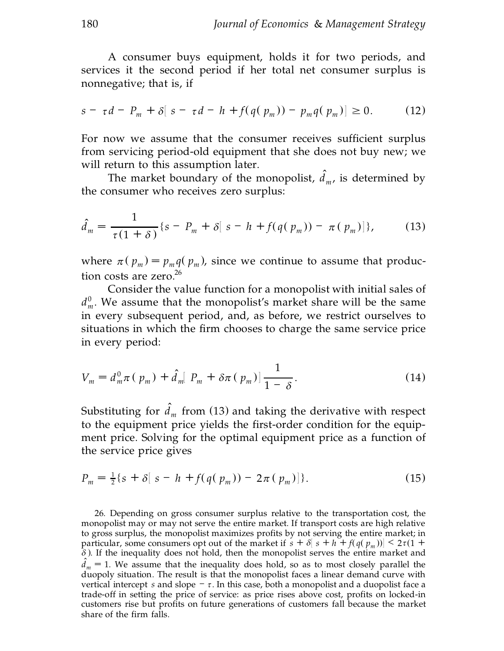A consumer buys equipment, holds it for two periods, and services it the second period if her total net consumer surplus is nonnegative; that is, if

$$
s - \tau d - P_m + \delta[s - \tau d - h + f(q(p_m)) - p_m q(p_m)] \ge 0. \tag{12}
$$

For now we assume that the consumer receives sufficient surplus from servicing period-old equipment that she does not buy new; we will return to this assumption later.

The market boundary of the monopolist,  $\hat{d}_m$ , is determined by the consumer who receives zero surplus:

$$
\hat{d}_m = \frac{1}{\tau (1+\delta)} \{ s - P_m + \delta | s - h + f(q(p_m)) - \pi (p_m) ] \}, \tag{13}
$$

where  $\pi(p_m) = p_m q(p_m)$ , since we continue to assume that production costs are zero. 26

Consider the value function for a monopolist with initial sales of  $d<sub>m</sub><sup>0</sup>$ . We assume that the monopolist's market share will be the same in every subsequent period, and, as before, we restrict ourselves to situations in which the firm chooses to charge the same service price in every period:

$$
V_m = d_m^0 \pi (p_m) + \hat{d}_m [p_m + \delta \pi (p_m)] \frac{1}{1 - \delta}.
$$
 (14)

Substituting for  $\hat{d}_m$  from (13) and taking the derivative with respect to the equipment price yields the first-order condition for the equipment price. Solving for the optimal equipment price as a function of the service price gives

$$
P_m = \frac{1}{2} \{ s + \delta [s - h + f(q(p_m)) - 2\pi (p_m)] \}.
$$
 (15)

26. Depending on gross consumer surplus relative to the transportation cost, the monopolist may or may not serve the entire market. If transport costs are high relative to gross surplus, the monopolist maximizes profits by not serving the entire market; in particular, some consumers opt out of the market if  $s + \delta | s + h + f(q(p_m)) | \leq 2\tau(1 +$ *d* ). If the inequality does not hold, then the monopolist serves the entire market and  $\hat{d}_m = 1$ . We assume that the inequality does hold, so as to most closely parallel the duopoly situation. The result is that the monopolist faces a linear demand curve with duopoly situation. The result is that the monopolist faces a linear demand curve with vertical intercept *s* and slope  $-\tau$ . In this case, both a monopolist and a duopolist face a trade-off in setting the price of service: as price rises above cost, profits on locked-in customers rise but profits on future generations of customers fall because the market share of the firm falls.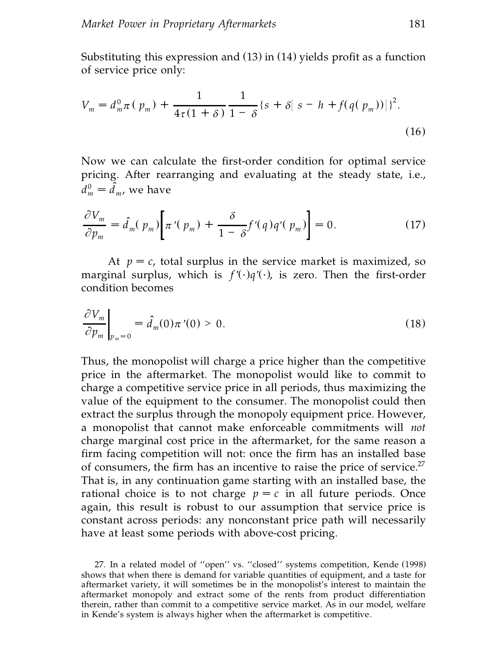Substituting this expression and  $(13)$  in  $(14)$  yields profit as a function of service price only:

$$
V_m = d_m^0 \pi(\, p_m) + \frac{1}{4\tau(1+\delta)} \frac{1}{1-\delta} \{ s + \delta [s-h] + f(q(\, p_m)) \}^2.
$$
\n(16)

Now we can calculate the first-order condition for optimal service pricing. After rearranging and evaluating at the steady state, i.e.,  $d_m^0 = \hat{d}_m$ , we have

$$
\frac{\partial V_m}{\partial p_m} = \hat{d}_m(p_m) \bigg[ \pi'(\,p_m) + \frac{\delta}{1 - \delta} f'(q) q'(\,p_m) \bigg] = 0. \tag{17}
$$

At  $p = c$ , total surplus in the service market is maximized, so marginal surplus, which is  $f'(\cdot)q'(\cdot)$ , is zero. Then the first-order condition becomes

$$
\left. \frac{\partial V_m}{\partial p_m} \right|_{p_m=0} = \hat{d}_m(0) \pi'(0) > 0. \tag{18}
$$

Thus, the monopolist will charge a price higher than the competitive price in the aftermarket. The monopolist would like to commit to charge a competitive service price in all periods, thus maximizing the value of the equipment to the consumer. The monopolist could then extract the surplus through the monopoly equipment price. However, a monopolist that cannot make enforceable commitments will *not* charge marginal cost price in the aftermarket, for the same reason a firm facing competition will not: once the firm has an installed base of consumers, the firm has an incentive to raise the price of service.<sup>27</sup> That is, in any continuation game starting with an installed base, the rational choice is to not charge  $p = c$  in all future periods. Once again, this result is robust to our assumption that service price is constant across periods: any nonconstant price path will necessarily have at least some periods with above-cost pricing.

<sup>27.</sup> In a related model of "open" vs. "closed" systems competition, Kende (1998) shows that when there is demand for variable quantities of equipment, and a taste for aftermarket variety, it will sometimes be in the monopolist's interest to maintain the aftermarket monopoly and extract some of the rents from product differentiation therein, rather than commit to a competitive service market. As in our model, welfare in Kende's system is always higher when the aftermarket is competitive.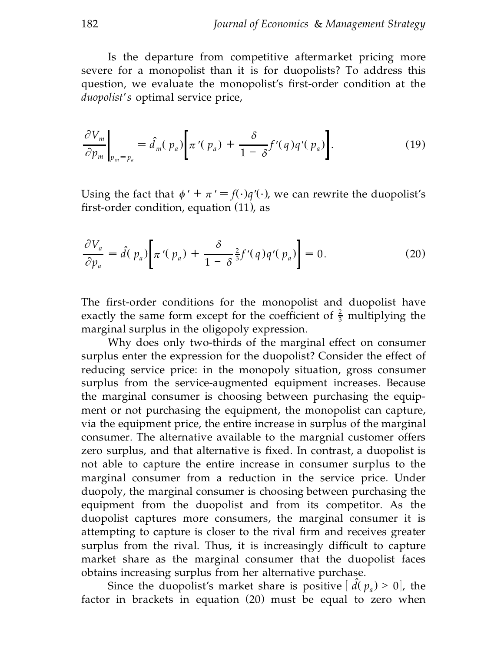Is the departure from competitive aftermarket pricing more severe for a monopolist than it is for duopolists? To address this question, we evaluate the monopolist's first-order condition at the *duopolist*'*s* optimal service price,

$$
\left. \frac{\partial V_m}{\partial p_m} \right|_{p_m = p_a} = \hat{d}_m(p_a) \bigg[ \pi'(\, p_a) + \frac{\delta}{1 - \delta} f'(q) q'(\, p_a) \bigg]. \tag{19}
$$

Using the fact that  $\phi' + \pi' = f(\cdot)q'(\cdot)$ , we can rewrite the duopolist's first-order condition, equation  $(11)$ , as

$$
\frac{\partial V_a}{\partial p_a} = \hat{d}(p_a) \bigg[ \pi'(p_a) + \frac{\delta}{1 - \delta^{\frac{2}{3}} f'(q) q'(p_a) \bigg] = 0. \tag{20}
$$

The first-order conditions for the monopolist and duopolist have exactly the same form except for the coefficient of  $\frac{2}{3}$  multiplying the marginal surplus in the oligopoly expression.

Why does only two-thirds of the marginal effect on consumer surplus enter the expression for the duopolist? Consider the effect of reducing service price: in the monopoly situation, gross consumer surplus from the service-augmented equipment increases. Because the marginal consumer is choosing between purchasing the equipment or not purchasing the equipment, the monopolist can capture, via the equipment price, the entire increase in surplus of the marginal consumer. The alternative available to the margnial customer offers zero surplus, and that alternative is fixed. In contrast, a duopolist is not able to capture the entire increase in consumer surplus to the marginal consumer from a reduction in the service price. Under duopoly, the marginal consumer is choosing between purchasing the equipment from the duopolist and from its competitor. As the duopolist captures more consumers, the marginal consumer it is attempting to capture is closer to the rival firm and receives greater surplus from the rival. Thus, it is increasingly difficult to capture market share as the marginal consumer that the duopolist faces obtains increasing surplus from her alternative purchase.

Since the duopolist's market share is positive  $\left[\hat{d}( p_{a}) \geq 0\right]$ , the factor in brackets in equation  $(20)$  must be equal to zero when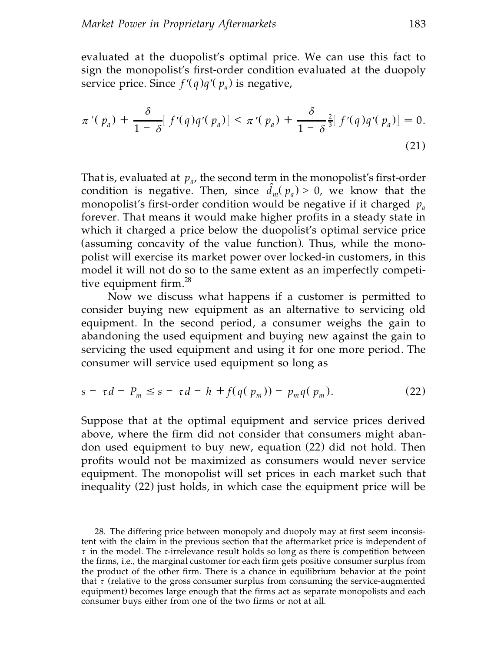evaluated at the duopolist's optimal price. We can use this fact to sign the monopolist's first-order condition evaluated at the duopoly service price. Since  $f'(q)q'(p_q)$  is negative,

$$
\pi'(p_a) + \frac{\delta}{1-\delta}[f'(q)q'(p_a)] < \pi'(p_a) + \frac{\delta}{1-\delta^{\frac{2}{3}}[f'(q)q'(p_a)]} = 0. \tag{21}
$$

That is, evaluated at  $p_a$ , the second term in the monopolist's first-order condition is negative. Then, since  $\hat{d}_m(p_a) > 0$ , we know that the monopolist's first-order condition would be negative if it charged  $p_a$ forever. That means it would make higher profits in a steady state in which it charged a price below the duopolist's optimal service price (assuming concavity of the value function). Thus, while the monopolist will exercise its market power over locked-in customers, in this model it will not do so to the same extent as an imperfectly competitive equipment firm.<sup>28</sup>

Now we discuss what happens if a customer is permitted to consider buying new equipment as an alternative to servicing old equipment. In the second period, a consumer weighs the gain to abandoning the used equipment and buying new against the gain to servicing the used equipment and using it for one more period. The consumer will service used equipment so long as

$$
s - \tau d - P_m \le s - \tau d - h + f(q(p_m)) - p_m q(p_m). \tag{22}
$$

Suppose that at the optimal equipment and service prices derived above, where the firm did not consider that consumers might abandon used equipment to buy new, equation (22) did not hold. Then profits would not be maximized as consumers would never service equipment. The monopolist will set prices in each market such that inequality  $(22)$  just holds, in which case the equipment price will be

<sup>28</sup>. The differing price between monopoly and duopoly may at first seem inconsistent with the claim in the previous section that the aftermarket price is independent of *t* in the model. The *t*-irrelevance result holds so long as there is competition between the firms, i.e., the marginal customer for each firm gets positive consumer surplus from the product of the other firm. There is a chance in equilibrium behavior at the point that  $\tau$  (relative to the gross consumer surplus from consuming the service-augmented equipment) becomes large enough that the firms act as separate monopolists and each consumer buys either from one of the two firms or not at all.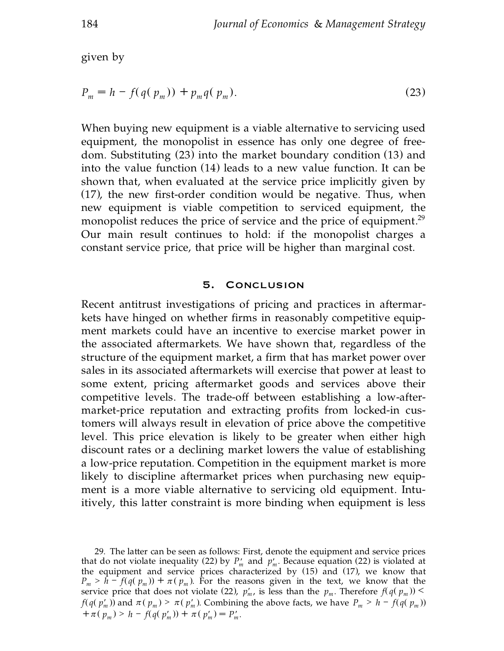given by

$$
P_m = h - f(q(p_m)) + p_m q(p_m). \tag{23}
$$

When buying new equipment is a viable alternative to servicing used equipment, the monopolist in essence has only one degree of freedom. Substituting  $(23)$  into the market boundary condition  $(13)$  and into the value function  $(14)$  leads to a new value function. It can be shown that, when evaluated at the service price implicitly given by  $(17)$ , the new first-order condition would be negative. Thus, when new equipment is viable competition to serviced equipment, the monopolist reduces the price of service and the price of equipment.<sup>29</sup> Our main result continues to hold: if the monopolist charges a constant service price, that price will be higher than marginal cost.

#### **5. Conclusion**

Recent antitrust investigations of pricing and practices in aftermarkets have hinged on whether firms in reasonably competitive equipment markets could have an incentive to exercise market power in the associated aftermarkets. We have shown that, regardless of the structure of the equipment market, a firm that has market power over sales in its associated aftermarkets will exercise that power at least to some extent, pricing aftermarket goods and services above their competitive levels. The trade-off between establishing a low-aftermarket-price reputation and extracting profits from locked-in customers will always result in elevation of price above the competitive level. This price elevation is likely to be greater when either high discount rates or a declining market lowers the value of establishing a low-price reputation. Competition in the equipment market is more likely to discipline aftermarket prices when purchasing new equipment is a more viable alternative to servicing old equipment. Intuitively, this latter constraint is more binding when equipment is less

<sup>29</sup>. The latter can be seen as follows: First, denote the equipment and service prices that do not violate inequality (22) by  $P'_m$  and  $p'_m$ . Because equation (22) is violated at  $p'_m$ . the equipment and service prices characterized by  $(15)$  and  $(17)$ , we know that  $P_m > h^{-1} f(q ( p_m) ) + \pi ( p_m)$ . For the reasons given in the text, we know that the service price that does not violate (22),  $p'_m$ , is less than the  $p_m$ . Therefore  $f(q(p_m))$  <  $f(q ( p'_m))$  and  $\pi ( p_m) > \pi ( p'_m)$ . Combining the above facts, we have  $P_m > h - f(q ( p_m))$  $+(\pi ( p_m) > h - f(q(p'_m)) + \pi ( p'_m) = P'_m.$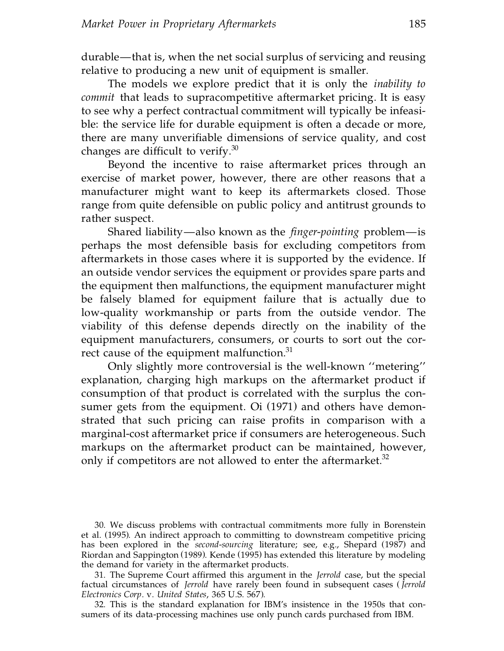durable—that is, when the net social surplus of servicing and reusing relative to producing a new unit of equipment is smaller.

The models we explore predict that it is only the *inability to commit* that leads to supracompetitive aftermarket pricing. It is easy to see why a perfect contractual commitment will typically be infeasible: the service life for durable equipment is often a decade or more, there are many unverifiable dimensions of service quality, and cost changes are difficult to verify. $^{30}$ 

Beyond the incentive to raise aftermarket prices through an exercise of market power, however, there are other reasons that a manufacturer might want to keep its aftermarkets closed. Those range from quite defensible on public policy and antitrust grounds to rather suspect.

Shared liability—also known as the *finger*-*pointing* problem—is perhaps the most defensible basis for excluding competitors from aftermarkets in those cases where it is supported by the evidence. If an outside vendor services the equipment or provides spare parts and the equipment then malfunctions, the equipment manufacturer might be falsely blamed for equipment failure that is actually due to low-quality workmanship or parts from the outside vendor. The viability of this defense depends directly on the inability of the equipment manufacturers, consumers, or courts to sort out the correct cause of the equipment malfunction.<sup>31</sup>

Only slightly more controversial is the well-known ''metering'' explanation, charging high markups on the aftermarket product if consumption of that product is correlated with the surplus the consumer gets from the equipment. Oi  $(1971)$  and others have demonstrated that such pricing can raise profits in comparison with a marginal-cost aftermarket price if consumers are heterogeneous. Such markups on the aftermarket product can be maintained, however, only if competitors are not allowed to enter the aftermarket. $32$ 

32. This is the standard explanation for IBM's insistence in the 1950s that consumers of its data-processing machines use only punch cards purchased from IBM.

<sup>30</sup>. We discuss problems with contractual commitments more fully in Borenstein et al. (1995). An indirect approach to committing to downstream competitive pricing has been explored in the *second-sourcing* literature; see, e.g., Shepard (1987) and Riordan and Sappington (1989). Kende (1995) has extended this literature by modeling the demand for variety in the aftermarket products.

<sup>31</sup>. The Supreme Court affirmed this argument in the *Jerrold* case, but the special factual circumstances of *Jerrold* have rarely been found in subsequent cases ( *Jerrold Electronics Corp*. v. *United States*, 365 U.S. 567).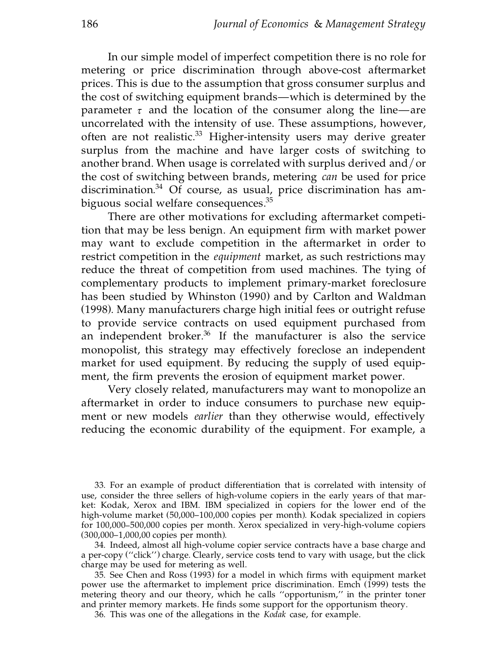In our simple model of imperfect competition there is no role for metering or price discrimination through above-cost aftermarket prices. This is due to the assumption that gross consumer surplus and the cost of switching equipment brands—which is determined by the parameter  $\tau$  and the location of the consumer along the line—are uncorrelated with the intensity of use. These assumptions, however, often are not realistic.<sup>33</sup> Higher-intensity users may derive greater surplus from the machine and have larger costs of switching to another brand. When usage is correlated with surplus derived and/or another brand. When usage is correlated with surplus derived and/or<br>the cost of switching between brands, metering *can* be used for price discrimination. <sup>34</sup> Of course, as usual, price discrimination has ambiguous social welfare consequences.<sup>35</sup>

There are other motivations for excluding aftermarket competition that may be less benign. An equipment firm with market power may want to exclude competition in the aftermarket in order to restrict competition in the *equipment* market, as such restrictions may reduce the threat of competition from used machines. The tying of complementary products to implement primary-market foreclosure has been studied by Whinston (1990) and by Carlton and Waldman (1998). Many manufacturers charge high initial fees or outright refuse to provide service contracts on used equipment purchased from an independent broker. <sup>36</sup> If the manufacturer is also the service monopolist, this strategy may effectively foreclose an independent market for used equipment. By reducing the supply of used equipment, the firm prevents the erosion of equipment market power.

Very closely related, manufacturers may want to monopolize an aftermarket in order to induce consumers to purchase new equipment or new models *earlier* than they otherwise would, effectively reducing the economic durability of the equipment. For example, a

33. For an example of product differentiation that is correlated with intensity of use, consider the three sellers of high-volume copiers in the early years of that market: Kodak, Xerox and IBM. IBM specialized in copiers for the lower end of the high-volume market (50,000-100,000 copies per month). Kodak specialized in copiers for 100,000–500,000 copies per month. Xerox specialized in very-high-volume copiers  $(300,000-1,000,00$  copies per month).

34. Indeed, almost all high-volume copier service contracts have a base charge and a per-copy ("click") charge. Clearly, service costs tend to vary with usage, but the click charge may be used for metering as well.

35. See Chen and Ross (1993) for a model in which firms with equipment market power use the aftermarket to implement price discrimination. Emch  $(1999)$  tests the metering theory and our theory, which he calls ''opportunism,'' in the printer toner and printer memory markets. He finds some support for the opportunism theory.

36. This was one of the allegations in the *Kodak* case, for example.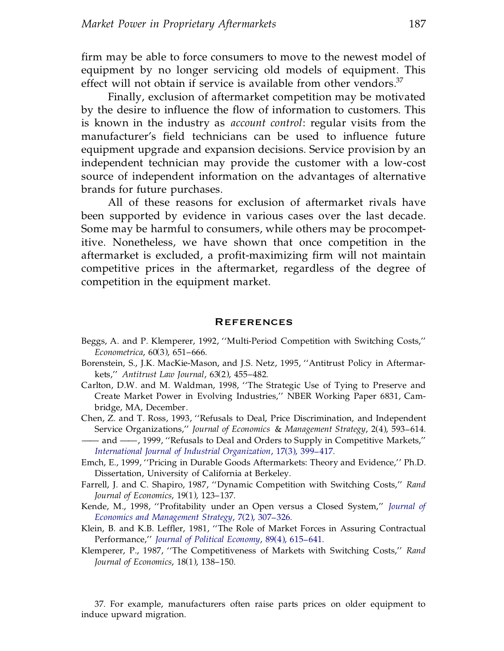firm may be able to force consumers to move to the newest model of equipment by no longer servicing old models of equipment. This effect will not obtain if service is available from other vendors.<sup>37</sup>

Finally, exclusion of aftermarket competition may be motivated by the desire to influence the flow of information to customers. This is known in the industry as *account control*: regular visits from the manufacturer's field technicians can be used to influence future equipment upgrade and expansion decisions. Service provision by an independent technician may provide the customer with a low-cost source of independent information on the advantages of alternative brands for future purchases.

All of these reasons for exclusion of aftermarket rivals have been supported by evidence in various cases over the last decade. Some may be harmful to consumers, while others may be procompetitive. Nonetheless, we have shown that once competition in the aftermarket is excluded, a profit-maximizing firm will not maintain competitive prices in the aftermarket, regardless of the degree of competition in the equipment market.

#### **References**

- Beggs, A. and P. Klemperer, 1992, ''Multi-Period Competition with Switching Costs,'' *Econometrica*, 60(3), 651-666.
- Borenstein, S., J.K. MacKie-Mason, and J.S. Netz, 1995, ''Antitrust Policy in Aftermarkets," Antitrust Law Journal, 63(2), 455-482.
- Carlton, D.W. and M. Waldman, 1998, ''The Strategic Use of Tying to Preserve and Create Market Power in Evolving Industries,'' NBER Working Paper 6831, Cambridge, MA, December.
- Chen, Z. and T. Ross, 1993, ''Refusals to Deal, Price Discrimination, and Independent Service Organizations," Journal of Economics & Management Strategy, 2(4), 593-614.
- —— and ——, 1999, ''Refusals to Deal and Orders to Supply in Competitive Markets,'' International Journal of Industrial Organization, 17(3), 399-417.
- Emch, E., 1999, ''Pricing in Durable Goods Aftermarkets: Theory and Evidence,'' Ph.D. Dissertation, University of California at Berkeley.
- Farrell, J. and C. Shapiro, 1987, ''Dynamic Competition with Switching Costs,'' *Rand Journal of Economics*, 19(1), 123-137.
- Kende, M., 1998, ''Profitability under an Open versus a Closed System,'' *Journal of Economics and Management Strategy, 7(2), 307-326.*
- Klein, B. and K.B. Leffler, 1981, ''The Role of Market Forces in Assuring Contractual Performance," *Journal of Political Economy*, 89(4), 615-641.
- Klemperer, P., 1987, ''The Competitiveness of Markets with Switching Costs,'' *Rand Journal of Economics*, 18(1), 138-150.

37. For example, manufacturers often raise parts prices on older equipment to induce upward migration.